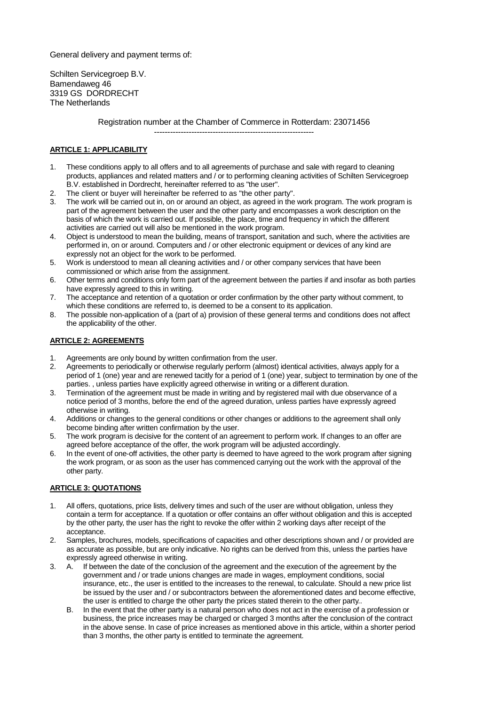General delivery and payment terms of:

Schilten Servicegroep B.V. Bamendaweg 46 3319 GS DORDRECHT The Netherlands

> Registration number at the Chamber of Commerce in Rotterdam: 23071456 ------------------------------------------------------------

# **ARTICLE 1: APPLICABILITY**

- 1. These conditions apply to all offers and to all agreements of purchase and sale with regard to cleaning products, appliances and related matters and / or to performing cleaning activities of Schilten Servicegroep B.V. established in Dordrecht, hereinafter referred to as "the user".
- 2. The client or buyer will hereinafter be referred to as "the other party".
- 3. The work will be carried out in, on or around an object, as agreed in the work program. The work program is part of the agreement between the user and the other party and encompasses a work description on the basis of which the work is carried out. If possible, the place, time and frequency in which the different activities are carried out will also be mentioned in the work program.
- 4. Object is understood to mean the building, means of transport, sanitation and such, where the activities are performed in, on or around. Computers and / or other electronic equipment or devices of any kind are expressly not an object for the work to be performed.
- 5. Work is understood to mean all cleaning activities and / or other company services that have been commissioned or which arise from the assignment.
- 6. Other terms and conditions only form part of the agreement between the parties if and insofar as both parties have expressly agreed to this in writing.
- 7. The acceptance and retention of a quotation or order confirmation by the other party without comment, to which these conditions are referred to, is deemed to be a consent to its application.
- 8. The possible non-application of a (part of a) provision of these general terms and conditions does not affect the applicability of the other.

## **ARTICLE 2: AGREEMENTS**

- 1. Agreements are only bound by written confirmation from the user.
- 2. Agreements to periodically or otherwise regularly perform (almost) identical activities, always apply for a period of 1 (one) year and are renewed tacitly for a period of 1 (one) year, subject to termination by one of the parties. , unless parties have explicitly agreed otherwise in writing or a different duration.
- 3. Termination of the agreement must be made in writing and by registered mail with due observance of a notice period of 3 months, before the end of the agreed duration, unless parties have expressly agreed otherwise in writing.
- 4. Additions or changes to the general conditions or other changes or additions to the agreement shall only become binding after written confirmation by the user.
- 5. The work program is decisive for the content of an agreement to perform work. If changes to an offer are agreed before acceptance of the offer, the work program will be adjusted accordingly.
- 6. In the event of one-off activities, the other party is deemed to have agreed to the work program after signing the work program, or as soon as the user has commenced carrying out the work with the approval of the other party.

## **ARTICLE 3: QUOTATIONS**

- 1. All offers, quotations, price lists, delivery times and such of the user are without obligation, unless they contain a term for acceptance. If a quotation or offer contains an offer without obligation and this is accepted by the other party, the user has the right to revoke the offer within 2 working days after receipt of the acceptance.
- 2. Samples, brochures, models, specifications of capacities and other descriptions shown and / or provided are as accurate as possible, but are only indicative. No rights can be derived from this, unless the parties have expressly agreed otherwise in writing.
- 3. A. If between the date of the conclusion of the agreement and the execution of the agreement by the government and / or trade unions changes are made in wages, employment conditions, social insurance, etc., the user is entitled to the increases to the renewal, to calculate. Should a new price list be issued by the user and / or subcontractors between the aforementioned dates and become effective, the user is entitled to charge the other party the prices stated therein to the other party..
	- B. In the event that the other party is a natural person who does not act in the exercise of a profession or business, the price increases may be charged or charged 3 months after the conclusion of the contract in the above sense. In case of price increases as mentioned above in this article, within a shorter period than 3 months, the other party is entitled to terminate the agreement.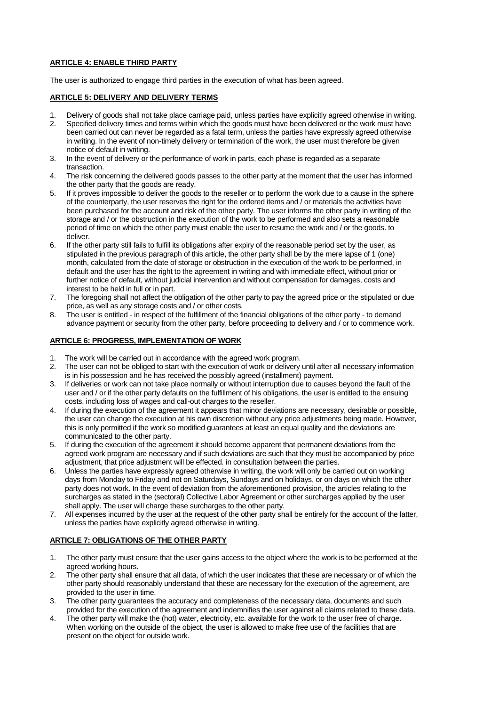# **ARTICLE 4: ENABLE THIRD PARTY**

The user is authorized to engage third parties in the execution of what has been agreed.

## **ARTICLE 5: DELIVERY AND DELIVERY TERMS**

- 1. Delivery of goods shall not take place carriage paid, unless parties have explicitly agreed otherwise in writing.
- 2. Specified delivery times and terms within which the goods must have been delivered or the work must have been carried out can never be regarded as a fatal term, unless the parties have expressly agreed otherwise in writing. In the event of non-timely delivery or termination of the work, the user must therefore be given notice of default in writing.
- 3. In the event of delivery or the performance of work in parts, each phase is regarded as a separate transaction.
- 4. The risk concerning the delivered goods passes to the other party at the moment that the user has informed the other party that the goods are ready.
- 5. If it proves impossible to deliver the goods to the reseller or to perform the work due to a cause in the sphere of the counterparty, the user reserves the right for the ordered items and / or materials the activities have been purchased for the account and risk of the other party. The user informs the other party in writing of the storage and / or the obstruction in the execution of the work to be performed and also sets a reasonable period of time on which the other party must enable the user to resume the work and / or the goods. to deliver.
- 6. If the other party still fails to fulfill its obligations after expiry of the reasonable period set by the user, as stipulated in the previous paragraph of this article, the other party shall be by the mere lapse of 1 (one) month, calculated from the date of storage or obstruction in the execution of the work to be performed, in default and the user has the right to the agreement in writing and with immediate effect, without prior or further notice of default, without judicial intervention and without compensation for damages, costs and interest to be held in full or in part.
- 7. The foregoing shall not affect the obligation of the other party to pay the agreed price or the stipulated or due price, as well as any storage costs and / or other costs.
- 8. The user is entitled in respect of the fulfillment of the financial obligations of the other party to demand advance payment or security from the other party, before proceeding to delivery and / or to commence work.

## **ARTICLE 6: PROGRESS, IMPLEMENTATION OF WORK**

- 1. The work will be carried out in accordance with the agreed work program.
- 2. The user can not be obliged to start with the execution of work or delivery until after all necessary information is in his possession and he has received the possibly agreed (installment) payment.
- 3. If deliveries or work can not take place normally or without interruption due to causes beyond the fault of the user and / or if the other party defaults on the fulfillment of his obligations, the user is entitled to the ensuing costs, including loss of wages and call-out charges to the reseller.
- 4. If during the execution of the agreement it appears that minor deviations are necessary, desirable or possible, the user can change the execution at his own discretion without any price adjustments being made. However, this is only permitted if the work so modified guarantees at least an equal quality and the deviations are communicated to the other party.
- 5. If during the execution of the agreement it should become apparent that permanent deviations from the agreed work program are necessary and if such deviations are such that they must be accompanied by price adjustment, that price adjustment will be effected. in consultation between the parties.
- 6. Unless the parties have expressly agreed otherwise in writing, the work will only be carried out on working days from Monday to Friday and not on Saturdays, Sundays and on holidays, or on days on which the other party does not work. In the event of deviation from the aforementioned provision, the articles relating to the surcharges as stated in the (sectoral) Collective Labor Agreement or other surcharges applied by the user shall apply. The user will charge these surcharges to the other party.
- 7. All expenses incurred by the user at the request of the other party shall be entirely for the account of the latter, unless the parties have explicitly agreed otherwise in writing.

## **ARTICLE 7: OBLIGATIONS OF THE OTHER PARTY**

- 1. The other party must ensure that the user gains access to the object where the work is to be performed at the agreed working hours.
- 2. The other party shall ensure that all data, of which the user indicates that these are necessary or of which the other party should reasonably understand that these are necessary for the execution of the agreement, are provided to the user in time.
- 3. The other party guarantees the accuracy and completeness of the necessary data, documents and such provided for the execution of the agreement and indemnifies the user against all claims related to these data.
- 4. The other party will make the (hot) water, electricity, etc. available for the work to the user free of charge. When working on the outside of the object, the user is allowed to make free use of the facilities that are present on the object for outside work.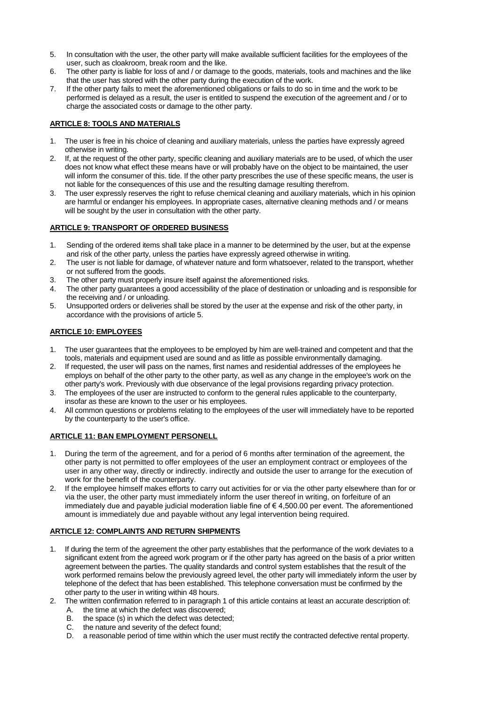- 5. In consultation with the user, the other party will make available sufficient facilities for the employees of the user, such as cloakroom, break room and the like.
- 6. The other party is liable for loss of and / or damage to the goods, materials, tools and machines and the like that the user has stored with the other party during the execution of the work.
- 7. If the other party fails to meet the aforementioned obligations or fails to do so in time and the work to be performed is delayed as a result, the user is entitled to suspend the execution of the agreement and / or to charge the associated costs or damage to the other party.

## **ARTICLE 8: TOOLS AND MATERIALS**

- 1. The user is free in his choice of cleaning and auxiliary materials, unless the parties have expressly agreed otherwise in writing.
- 2. If, at the request of the other party, specific cleaning and auxiliary materials are to be used, of which the user does not know what effect these means have or will probably have on the object to be maintained, the user will inform the consumer of this. tide. If the other party prescribes the use of these specific means, the user is not liable for the consequences of this use and the resulting damage resulting therefrom.
- 3. The user expressly reserves the right to refuse chemical cleaning and auxiliary materials, which in his opinion are harmful or endanger his employees. In appropriate cases, alternative cleaning methods and / or means will be sought by the user in consultation with the other party.

## **ARTICLE 9: TRANSPORT OF ORDERED BUSINESS**

- 1. Sending of the ordered items shall take place in a manner to be determined by the user, but at the expense and risk of the other party, unless the parties have expressly agreed otherwise in writing.
- 2. The user is not liable for damage, of whatever nature and form whatsoever, related to the transport, whether or not suffered from the goods.
- 3. The other party must properly insure itself against the aforementioned risks.
- 4. The other party guarantees a good accessibility of the place of destination or unloading and is responsible for the receiving and / or unloading.
- 5. Unsupported orders or deliveries shall be stored by the user at the expense and risk of the other party, in accordance with the provisions of article 5.

## **ARTICLE 10: EMPLOYEES**

- 1. The user guarantees that the employees to be employed by him are well-trained and competent and that the tools, materials and equipment used are sound and as little as possible environmentally damaging.
- 2. If requested, the user will pass on the names, first names and residential addresses of the employees he employs on behalf of the other party to the other party, as well as any change in the employee's work on the other party's work. Previously with due observance of the legal provisions regarding privacy protection.
- 3. The employees of the user are instructed to conform to the general rules applicable to the counterparty, insofar as these are known to the user or his employees.
- 4. All common questions or problems relating to the employees of the user will immediately have to be reported by the counterparty to the user's office.

## **ARTICLE 11: BAN EMPLOYMENT PERSONELL**

- 1. During the term of the agreement, and for a period of 6 months after termination of the agreement, the other party is not permitted to offer employees of the user an employment contract or employees of the user in any other way, directly or indirectly. indirectly and outside the user to arrange for the execution of work for the benefit of the counterparty.
- 2. If the employee himself makes efforts to carry out activities for or via the other party elsewhere than for or via the user, the other party must immediately inform the user thereof in writing, on forfeiture of an immediately due and payable judicial moderation liable fine of € 4,500.00 per event. The aforementioned amount is immediately due and payable without any legal intervention being required.

## **ARTICLE 12: COMPLAINTS AND RETURN SHIPMENTS**

- 1. If during the term of the agreement the other party establishes that the performance of the work deviates to a significant extent from the agreed work program or if the other party has agreed on the basis of a prior written agreement between the parties. The quality standards and control system establishes that the result of the work performed remains below the previously agreed level, the other party will immediately inform the user by telephone of the defect that has been established. This telephone conversation must be confirmed by the other party to the user in writing within 48 hours.
- 2. The written confirmation referred to in paragraph 1 of this article contains at least an accurate description of:
	- A. the time at which the defect was discovered;
	- B. the space (s) in which the defect was detected;
	- C. the nature and severity of the defect found;
	- D. a reasonable period of time within which the user must rectify the contracted defective rental property.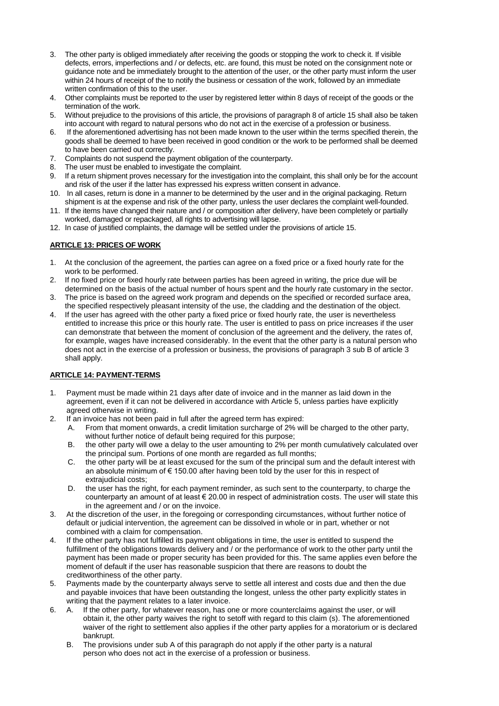- 3. The other party is obliged immediately after receiving the goods or stopping the work to check it. If visible defects, errors, imperfections and / or defects, etc. are found, this must be noted on the consignment note or guidance note and be immediately brought to the attention of the user, or the other party must inform the user within 24 hours of receipt of the to notify the business or cessation of the work, followed by an immediate written confirmation of this to the user.
- 4. Other complaints must be reported to the user by registered letter within 8 days of receipt of the goods or the termination of the work.
- 5. Without prejudice to the provisions of this article, the provisions of paragraph 8 of article 15 shall also be taken into account with regard to natural persons who do not act in the exercise of a profession or business.
- 6. If the aforementioned advertising has not been made known to the user within the terms specified therein, the goods shall be deemed to have been received in good condition or the work to be performed shall be deemed to have been carried out correctly.
- 7. Complaints do not suspend the payment obligation of the counterparty.
- 8. The user must be enabled to investigate the complaint.
- 9. If a return shipment proves necessary for the investigation into the complaint, this shall only be for the account and risk of the user if the latter has expressed his express written consent in advance.
- 10. In all cases, return is done in a manner to be determined by the user and in the original packaging. Return shipment is at the expense and risk of the other party, unless the user declares the complaint well-founded.
- 11. If the items have changed their nature and / or composition after delivery, have been completely or partially worked, damaged or repackaged, all rights to advertising will lapse.
- 12. In case of justified complaints, the damage will be settled under the provisions of article 15.

## **ARTICLE 13: PRICES OF WORK**

- 1. At the conclusion of the agreement, the parties can agree on a fixed price or a fixed hourly rate for the work to be performed.
- 2. If no fixed price or fixed hourly rate between parties has been agreed in writing, the price due will be determined on the basis of the actual number of hours spent and the hourly rate customary in the sector.
- 3. The price is based on the agreed work program and depends on the specified or recorded surface area, the specified respectively pleasant intensity of the use, the cladding and the destination of the object.
- 4. If the user has agreed with the other party a fixed price or fixed hourly rate, the user is nevertheless entitled to increase this price or this hourly rate. The user is entitled to pass on price increases if the user can demonstrate that between the moment of conclusion of the agreement and the delivery, the rates of, for example, wages have increased considerably. In the event that the other party is a natural person who does not act in the exercise of a profession or business, the provisions of paragraph 3 sub B of article 3 shall apply.

## **ARTICLE 14: PAYMENT-TERMS**

- 1. Payment must be made within 21 days after date of invoice and in the manner as laid down in the agreement, even if it can not be delivered in accordance with Article 5, unless parties have explicitly agreed otherwise in writing.
- 2. If an invoice has not been paid in full after the agreed term has expired:
	- A. From that moment onwards, a credit limitation surcharge of 2% will be charged to the other party, without further notice of default being required for this purpose;
	- B. the other party will owe a delay to the user amounting to 2% per month cumulatively calculated over the principal sum. Portions of one month are regarded as full months;
	- C. the other party will be at least excused for the sum of the principal sum and the default interest with an absolute minimum of  $\epsilon$  150.00 after having been told by the user for this in respect of extrajudicial costs;
	- D. the user has the right, for each payment reminder, as such sent to the counterparty, to charge the counterparty an amount of at least  $\epsilon$  20.00 in respect of administration costs. The user will state this in the agreement and / or on the invoice.
- 3. At the discretion of the user, in the foregoing or corresponding circumstances, without further notice of default or judicial intervention, the agreement can be dissolved in whole or in part, whether or not combined with a claim for compensation.
- 4. If the other party has not fulfilled its payment obligations in time, the user is entitled to suspend the fulfillment of the obligations towards delivery and / or the performance of work to the other party until the payment has been made or proper security has been provided for this. The same applies even before the moment of default if the user has reasonable suspicion that there are reasons to doubt the creditworthiness of the other party.
- 5. Payments made by the counterparty always serve to settle all interest and costs due and then the due and payable invoices that have been outstanding the longest, unless the other party explicitly states in writing that the payment relates to a later invoice.
- 6. A. If the other party, for whatever reason, has one or more counterclaims against the user, or will obtain it, the other party waives the right to setoff with regard to this claim (s). The aforementioned waiver of the right to settlement also applies if the other party applies for a moratorium or is declared bankrupt.
	- B. The provisions under sub A of this paragraph do not apply if the other party is a natural person who does not act in the exercise of a profession or business.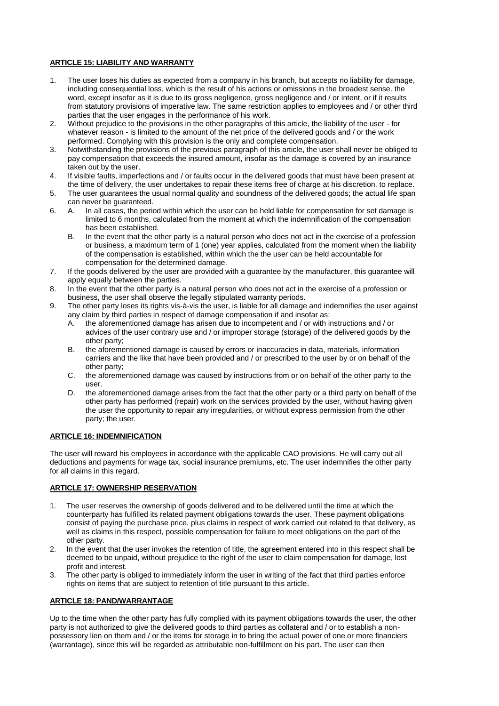# **ARTICLE 15: LIABILITY AND WARRANTY**

- 1. The user loses his duties as expected from a company in his branch, but accepts no liability for damage, including consequential loss, which is the result of his actions or omissions in the broadest sense. the word, except insofar as it is due to its gross negligence, gross negligence and / or intent, or if it results from statutory provisions of imperative law. The same restriction applies to employees and / or other third parties that the user engages in the performance of his work.
- 2. Without prejudice to the provisions in the other paragraphs of this article, the liability of the user for whatever reason - is limited to the amount of the net price of the delivered goods and / or the work performed. Complying with this provision is the only and complete compensation.
- 3. Notwithstanding the provisions of the previous paragraph of this article, the user shall never be obliged to pay compensation that exceeds the insured amount, insofar as the damage is covered by an insurance taken out by the user.
- 4. If visible faults, imperfections and / or faults occur in the delivered goods that must have been present at the time of delivery, the user undertakes to repair these items free of charge at his discretion. to replace.
- 5. The user guarantees the usual normal quality and soundness of the delivered goods; the actual life span can never be guaranteed.
- 6. A. In all cases, the period within which the user can be held liable for compensation for set damage is limited to 6 months, calculated from the moment at which the indemnification of the compensation has been established.
	- B. In the event that the other party is a natural person who does not act in the exercise of a profession or business, a maximum term of 1 (one) year applies, calculated from the moment when the liability of the compensation is established, within which the the user can be held accountable for compensation for the determined damage.
- 7. If the goods delivered by the user are provided with a guarantee by the manufacturer, this guarantee will apply equally between the parties.
- 8. In the event that the other party is a natural person who does not act in the exercise of a profession or business, the user shall observe the legally stipulated warranty periods.
- 9. The other party loses its rights vis-à-vis the user, is liable for all damage and indemnifies the user against any claim by third parties in respect of damage compensation if and insofar as:
	- A. the aforementioned damage has arisen due to incompetent and / or with instructions and / or advices of the user contrary use and / or improper storage (storage) of the delivered goods by the other party;
	- B. the aforementioned damage is caused by errors or inaccuracies in data, materials, information carriers and the like that have been provided and / or prescribed to the user by or on behalf of the other party;
	- C. the aforementioned damage was caused by instructions from or on behalf of the other party to the user.
	- D. the aforementioned damage arises from the fact that the other party or a third party on behalf of the other party has performed (repair) work on the services provided by the user, without having given the user the opportunity to repair any irregularities, or without express permission from the other party; the user.

#### **ARTICLE 16: INDEMNIFICATION**

The user will reward his employees in accordance with the applicable CAO provisions. He will carry out all deductions and payments for wage tax, social insurance premiums, etc. The user indemnifies the other party for all claims in this regard.

## **ARTICLE 17: OWNERSHIP RESERVATION**

- 1. The user reserves the ownership of goods delivered and to be delivered until the time at which the counterparty has fulfilled its related payment obligations towards the user. These payment obligations consist of paying the purchase price, plus claims in respect of work carried out related to that delivery, as well as claims in this respect, possible compensation for failure to meet obligations on the part of the other party.
- 2. In the event that the user invokes the retention of title, the agreement entered into in this respect shall be deemed to be unpaid, without prejudice to the right of the user to claim compensation for damage, lost profit and interest.
- 3. The other party is obliged to immediately inform the user in writing of the fact that third parties enforce rights on items that are subject to retention of title pursuant to this article.

## **ARTICLE 18: PAND/WARRANTAGE**

Up to the time when the other party has fully complied with its payment obligations towards the user, the other party is not authorized to give the delivered goods to third parties as collateral and / or to establish a nonpossessory lien on them and / or the items for storage in to bring the actual power of one or more financiers (warrantage), since this will be regarded as attributable non-fulfillment on his part. The user can then